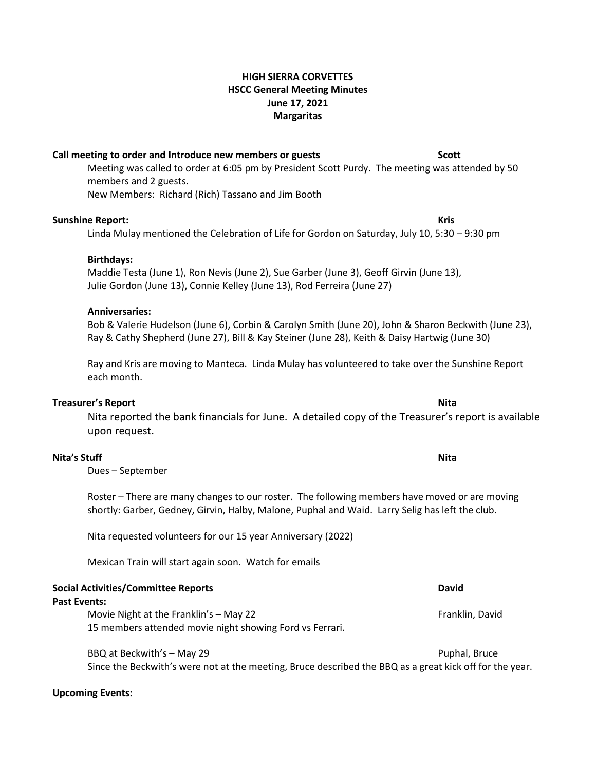# **HIGH SIERRA CORVETTES HSCC General Meeting Minutes June 17, 2021 Margaritas**

# **Call meeting to order and Introduce new members or guests Scott**

Meeting was called to order at 6:05 pm by President Scott Purdy. The meeting was attended by 50 members and 2 guests. New Members: Richard (Rich) Tassano and Jim Booth

# **Sunshine Report: Kris**

Linda Mulay mentioned the Celebration of Life for Gordon on Saturday, July 10, 5:30 – 9:30 pm

# **Birthdays:**

Maddie Testa (June 1), Ron Nevis (June 2), Sue Garber (June 3), Geoff Girvin (June 13), Julie Gordon (June 13), Connie Kelley (June 13), Rod Ferreira (June 27)

# **Anniversaries:**

Bob & Valerie Hudelson (June 6), Corbin & Carolyn Smith (June 20), John & Sharon Beckwith (June 23), Ray & Cathy Shepherd (June 27), Bill & Kay Steiner (June 28), Keith & Daisy Hartwig (June 30)

Ray and Kris are moving to Manteca. Linda Mulay has volunteered to take over the Sunshine Report each month.

## **Treasurer's Report Nita**

Nita reported the bank financials for June. A detailed copy of the Treasurer's report is available upon request.

# **Nita's Stuff Nita**

Dues – September

Roster – There are many changes to our roster. The following members have moved or are moving shortly: Garber, Gedney, Girvin, Halby, Malone, Puphal and Waid. Larry Selig has left the club.

Nita requested volunteers for our 15 year Anniversary (2022)

Mexican Train will start again soon. Watch for emails

| <b>Social Activities/Committee Reports</b> |                                                                                                    | <b>David</b>    |
|--------------------------------------------|----------------------------------------------------------------------------------------------------|-----------------|
| Past Events:                               |                                                                                                    |                 |
|                                            | Movie Night at the Franklin's - May 22<br>15 members attended movie night showing Ford vs Ferrari. | Franklin, David |
|                                            | BBQ at Beckwith's - May 29                                                                         | Puphal, Bruce   |

Since the Beckwith's were not at the meeting, Bruce described the BBQ as a great kick off for the year.

# **Upcoming Events:**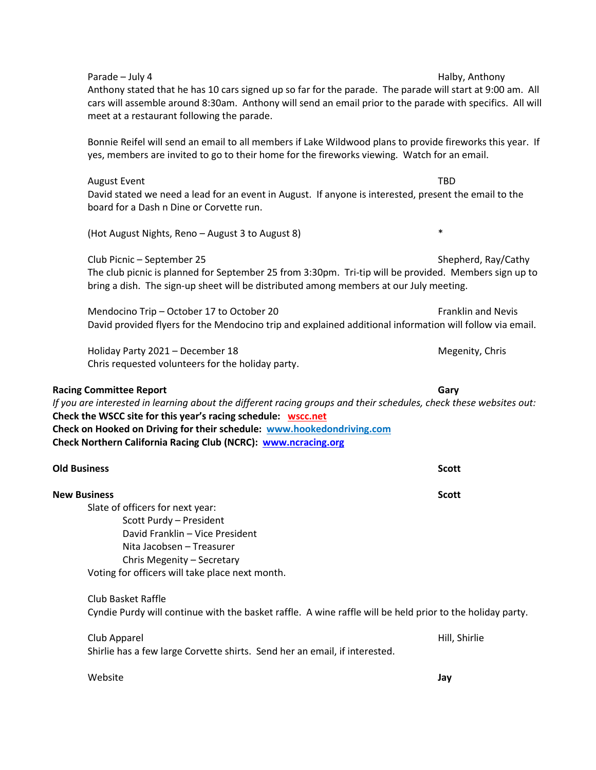| Parade - July 4<br>Anthony stated that he has 10 cars signed up so far for the parade. The parade will start at 9:00 am. All<br>cars will assemble around 8:30am. Anthony will send an email prior to the parade with specifics. All will<br>meet at a restaurant following the parade.                                                                           | Halby, Anthony            |  |
|-------------------------------------------------------------------------------------------------------------------------------------------------------------------------------------------------------------------------------------------------------------------------------------------------------------------------------------------------------------------|---------------------------|--|
| Bonnie Reifel will send an email to all members if Lake Wildwood plans to provide fireworks this year. If<br>yes, members are invited to go to their home for the fireworks viewing. Watch for an email.                                                                                                                                                          |                           |  |
| <b>August Event</b><br>David stated we need a lead for an event in August. If anyone is interested, present the email to the<br>board for a Dash n Dine or Corvette run.                                                                                                                                                                                          | <b>TBD</b>                |  |
| (Hot August Nights, Reno - August 3 to August 8)                                                                                                                                                                                                                                                                                                                  | $\ast$                    |  |
| Club Picnic - September 25<br>The club picnic is planned for September 25 from 3:30pm. Tri-tip will be provided. Members sign up to<br>bring a dish. The sign-up sheet will be distributed among members at our July meeting.                                                                                                                                     | Shepherd, Ray/Cathy       |  |
| Mendocino Trip - October 17 to October 20<br>David provided flyers for the Mendocino trip and explained additional information will follow via email.                                                                                                                                                                                                             | <b>Franklin and Nevis</b> |  |
| Holiday Party 2021 - December 18<br>Chris requested volunteers for the holiday party.                                                                                                                                                                                                                                                                             | Megenity, Chris           |  |
| <b>Racing Committee Report</b><br>If you are interested in learning about the different racing groups and their schedules, check these websites out:<br>Check the WSCC site for this year's racing schedule: wscc.net<br>Check on Hooked on Driving for their schedule: www.hookedondriving.com<br>Check Northern California Racing Club (NCRC): www.ncracing.org | Gary                      |  |
| <b>Old Business</b>                                                                                                                                                                                                                                                                                                                                               | <b>Scott</b>              |  |
| <b>New Business</b><br>Slate of officers for next year:<br>Scott Purdy - President<br>David Franklin - Vice President<br>Nita Jacobsen - Treasurer<br>Chris Megenity - Secretary<br>Voting for officers will take place next month.                                                                                                                               | <b>Scott</b>              |  |
| <b>Club Basket Raffle</b><br>Cyndie Purdy will continue with the basket raffle. A wine raffle will be held prior to the holiday party.                                                                                                                                                                                                                            |                           |  |
| Club Apparel<br>Shirlie has a few large Corvette shirts. Send her an email, if interested.                                                                                                                                                                                                                                                                        | Hill, Shirlie             |  |
| Website                                                                                                                                                                                                                                                                                                                                                           | Jay                       |  |
|                                                                                                                                                                                                                                                                                                                                                                   |                           |  |